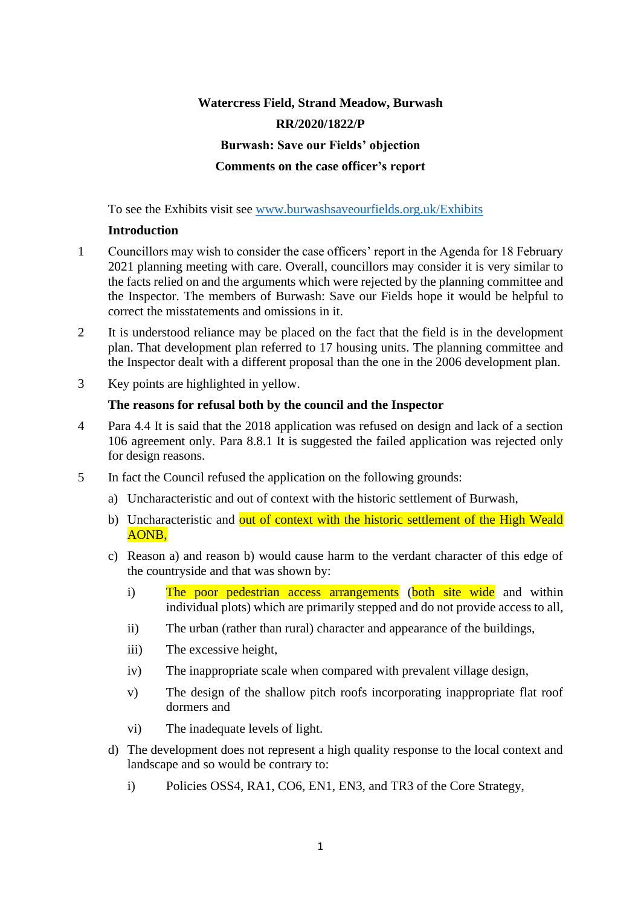# **Watercress Field, Strand Meadow, Burwash RR/2020/1822/P Burwash: Save our Fields' objection Comments on the case officer's report**

To see the Exhibits visit see [www.burwashsaveourfields.org.uk/Exhibits](https://www.burwashsaveourfields.org.uk/Exhibits)

# **Introduction**

- 1 Councillors may wish to consider the case officers' report in the Agenda for 18 February 2021 planning meeting with care. Overall, councillors may consider it is very similar to the facts relied on and the arguments which were rejected by the planning committee and the Inspector. The members of Burwash: Save our Fields hope it would be helpful to correct the misstatements and omissions in it.
- 2 It is understood reliance may be placed on the fact that the field is in the development plan. That development plan referred to 17 housing units. The planning committee and the Inspector dealt with a different proposal than the one in the 2006 development plan.
- 3 Key points are highlighted in yellow.

# **The reasons for refusal both by the council and the Inspector**

- 4 Para 4.4 It is said that the 2018 application was refused on design and lack of a section 106 agreement only. Para 8.8.1 It is suggested the failed application was rejected only for design reasons.
- 5 In fact the Council refused the application on the following grounds:
	- a) Uncharacteristic and out of context with the historic settlement of Burwash,
	- b) Uncharacteristic and out of context with the historic settlement of the High Weald AONB,
	- c) Reason a) and reason b) would cause harm to the verdant character of this edge of the countryside and that was shown by:
		- i) The poor pedestrian access arrangements (both site wide and within individual plots) which are primarily stepped and do not provide access to all,
		- ii) The urban (rather than rural) character and appearance of the buildings,
		- iii) The excessive height,
		- iv) The inappropriate scale when compared with prevalent village design,
		- v) The design of the shallow pitch roofs incorporating inappropriate flat roof dormers and
		- vi) The inadequate levels of light.
	- d) The development does not represent a high quality response to the local context and landscape and so would be contrary to:
		- i) Policies OSS4, RA1, CO6, EN1, EN3, and TR3 of the Core Strategy,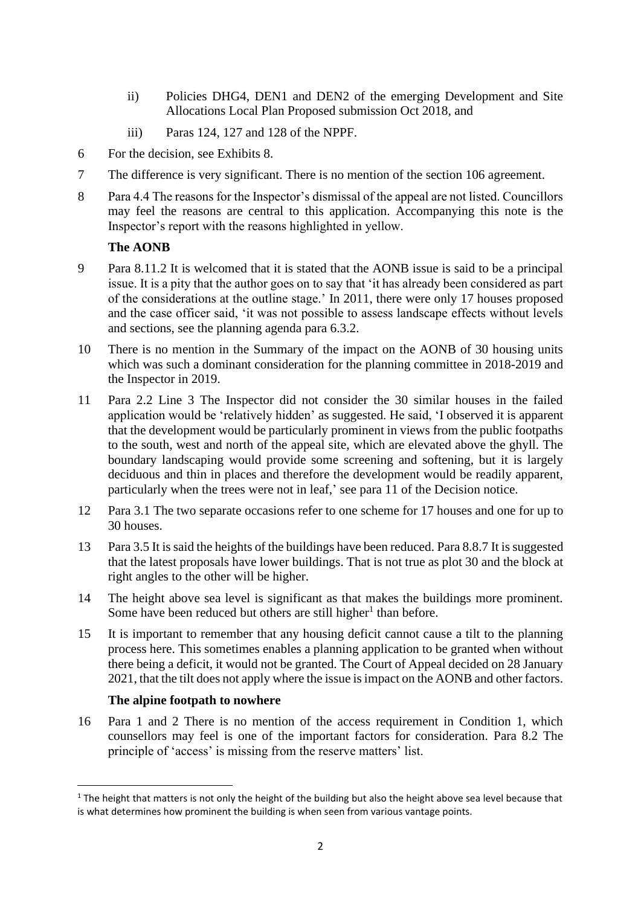- ii) Policies DHG4, DEN1 and DEN2 of the emerging Development and Site Allocations Local Plan Proposed submission Oct 2018, and
- iii) Paras 124, 127 and 128 of the NPPF.
- 6 For the decision, see Exhibits 8.
- 7 The difference is very significant. There is no mention of the section 106 agreement.
- 8 Para 4.4 The reasons for the Inspector's dismissal of the appeal are not listed. Councillors may feel the reasons are central to this application. Accompanying this note is the Inspector's report with the reasons highlighted in yellow.

# **The AONB**

- 9 Para 8.11.2 It is welcomed that it is stated that the AONB issue is said to be a principal issue. It is a pity that the author goes on to say that 'it has already been considered as part of the considerations at the outline stage.' In 2011, there were only 17 houses proposed and the case officer said, 'it was not possible to assess landscape effects without levels and sections, see the planning agenda para 6.3.2.
- 10 There is no mention in the Summary of the impact on the AONB of 30 housing units which was such a dominant consideration for the planning committee in 2018-2019 and the Inspector in 2019.
- 11 Para 2.2 Line 3 The Inspector did not consider the 30 similar houses in the failed application would be 'relatively hidden' as suggested. He said, 'I observed it is apparent that the development would be particularly prominent in views from the public footpaths to the south, west and north of the appeal site, which are elevated above the ghyll. The boundary landscaping would provide some screening and softening, but it is largely deciduous and thin in places and therefore the development would be readily apparent, particularly when the trees were not in leaf,' see para 11 of the Decision notice.
- 12 Para 3.1 The two separate occasions refer to one scheme for 17 houses and one for up to 30 houses.
- 13 Para 3.5 It is said the heights of the buildings have been reduced. Para 8.8.7 It is suggested that the latest proposals have lower buildings. That is not true as plot 30 and the block at right angles to the other will be higher.
- 14 The height above sea level is significant as that makes the buildings more prominent. Some have been reduced but others are still higher<sup>1</sup> than before.
- 15 It is important to remember that any housing deficit cannot cause a tilt to the planning process here. This sometimes enables a planning application to be granted when without there being a deficit, it would not be granted. The Court of Appeal decided on 28 January 2021, that the tilt does not apply where the issue is impact on the AONB and other factors.

# **The alpine footpath to nowhere**

16 Para 1 and 2 There is no mention of the access requirement in Condition 1, which counsellors may feel is one of the important factors for consideration. Para 8.2 The principle of 'access' is missing from the reserve matters' list.

<sup>&</sup>lt;sup>1</sup> The height that matters is not only the height of the building but also the height above sea level because that is what determines how prominent the building is when seen from various vantage points.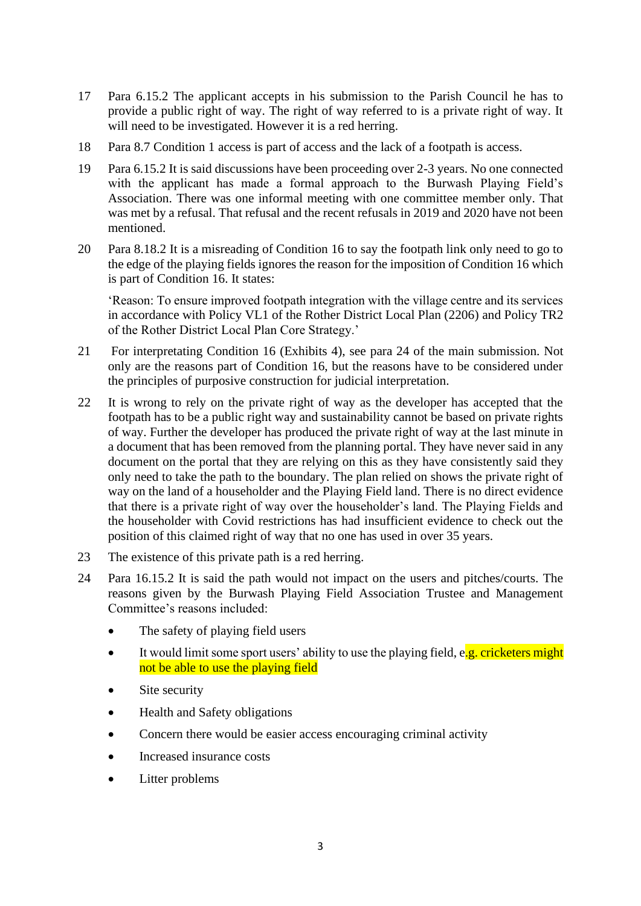- 17 Para 6.15.2 The applicant accepts in his submission to the Parish Council he has to provide a public right of way. The right of way referred to is a private right of way. It will need to be investigated. However it is a red herring.
- 18 Para 8.7 Condition 1 access is part of access and the lack of a footpath is access.
- 19 Para 6.15.2 It is said discussions have been proceeding over 2-3 years. No one connected with the applicant has made a formal approach to the Burwash Playing Field's Association. There was one informal meeting with one committee member only. That was met by a refusal. That refusal and the recent refusals in 2019 and 2020 have not been mentioned.
- 20 Para 8.18.2 It is a misreading of Condition 16 to say the footpath link only need to go to the edge of the playing fields ignores the reason for the imposition of Condition 16 which is part of Condition 16. It states:

'Reason: To ensure improved footpath integration with the village centre and its services in accordance with Policy VL1 of the Rother District Local Plan (2206) and Policy TR2 of the Rother District Local Plan Core Strategy.'

- 21 For interpretating Condition 16 (Exhibits 4), see para 24 of the main submission. Not only are the reasons part of Condition 16, but the reasons have to be considered under the principles of purposive construction for judicial interpretation.
- 22 It is wrong to rely on the private right of way as the developer has accepted that the footpath has to be a public right way and sustainability cannot be based on private rights of way. Further the developer has produced the private right of way at the last minute in a document that has been removed from the planning portal. They have never said in any document on the portal that they are relying on this as they have consistently said they only need to take the path to the boundary. The plan relied on shows the private right of way on the land of a householder and the Playing Field land. There is no direct evidence that there is a private right of way over the householder's land. The Playing Fields and the householder with Covid restrictions has had insufficient evidence to check out the position of this claimed right of way that no one has used in over 35 years.
- 23 The existence of this private path is a red herring.
- 24 Para 16.15.2 It is said the path would not impact on the users and pitches/courts. The reasons given by the Burwash Playing Field Association Trustee and Management Committee's reasons included:
	- The safety of playing field users
	- It would limit some sport users' ability to use the playing field,  $e.g.$  cricketers might not be able to use the playing field
	- Site security
	- Health and Safety obligations
	- Concern there would be easier access encouraging criminal activity
	- Increased insurance costs
	- Litter problems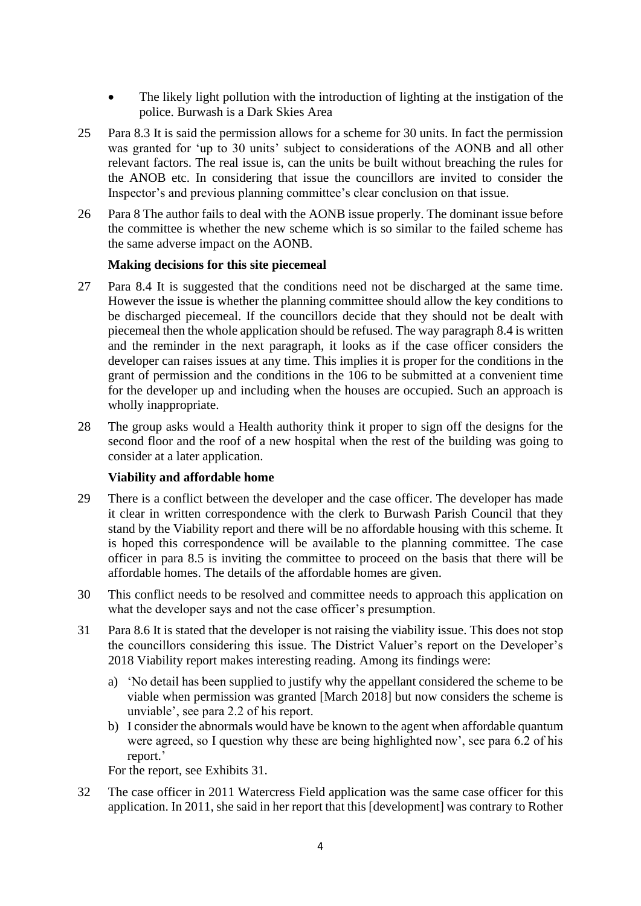- The likely light pollution with the introduction of lighting at the instigation of the police. Burwash is a Dark Skies Area
- 25 Para 8.3 It is said the permission allows for a scheme for 30 units. In fact the permission was granted for 'up to 30 units' subject to considerations of the AONB and all other relevant factors. The real issue is, can the units be built without breaching the rules for the ANOB etc. In considering that issue the councillors are invited to consider the Inspector's and previous planning committee's clear conclusion on that issue.
- 26 Para 8 The author fails to deal with the AONB issue properly. The dominant issue before the committee is whether the new scheme which is so similar to the failed scheme has the same adverse impact on the AONB.

## **Making decisions for this site piecemeal**

- 27 Para 8.4 It is suggested that the conditions need not be discharged at the same time. However the issue is whether the planning committee should allow the key conditions to be discharged piecemeal. If the councillors decide that they should not be dealt with piecemeal then the whole application should be refused. The way paragraph 8.4 is written and the reminder in the next paragraph, it looks as if the case officer considers the developer can raises issues at any time. This implies it is proper for the conditions in the grant of permission and the conditions in the 106 to be submitted at a convenient time for the developer up and including when the houses are occupied. Such an approach is wholly inappropriate.
- 28 The group asks would a Health authority think it proper to sign off the designs for the second floor and the roof of a new hospital when the rest of the building was going to consider at a later application.

## **Viability and affordable home**

- 29 There is a conflict between the developer and the case officer. The developer has made it clear in written correspondence with the clerk to Burwash Parish Council that they stand by the Viability report and there will be no affordable housing with this scheme. It is hoped this correspondence will be available to the planning committee. The case officer in para 8.5 is inviting the committee to proceed on the basis that there will be affordable homes. The details of the affordable homes are given.
- 30 This conflict needs to be resolved and committee needs to approach this application on what the developer says and not the case officer's presumption.
- 31 Para 8.6 It is stated that the developer is not raising the viability issue. This does not stop the councillors considering this issue. The District Valuer's report on the Developer's 2018 Viability report makes interesting reading. Among its findings were:
	- a) 'No detail has been supplied to justify why the appellant considered the scheme to be viable when permission was granted [March 2018] but now considers the scheme is unviable', see para 2.2 of his report.
	- b) I consider the abnormals would have be known to the agent when affordable quantum were agreed, so I question why these are being highlighted now', see para 6.2 of his report.'

For the report, see Exhibits 31.

32 The case officer in 2011 Watercress Field application was the same case officer for this application. In 2011, she said in her report that this [development] was contrary to Rother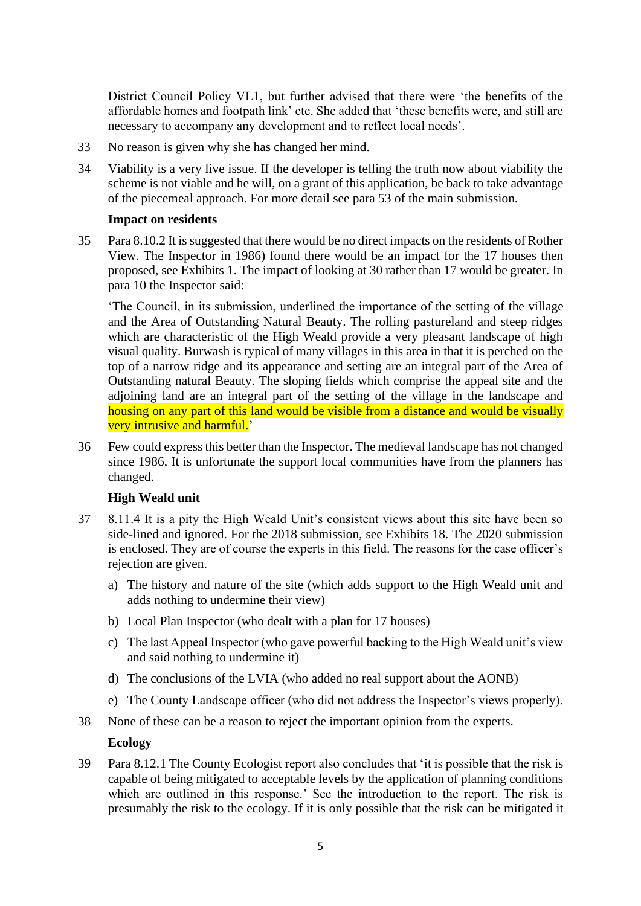District Council Policy VL1, but further advised that there were 'the benefits of the affordable homes and footpath link' etc. She added that 'these benefits were, and still are necessary to accompany any development and to reflect local needs'.

- 33 No reason is given why she has changed her mind.
- 34 Viability is a very live issue. If the developer is telling the truth now about viability the scheme is not viable and he will, on a grant of this application, be back to take advantage of the piecemeal approach. For more detail see para 53 of the main submission.

#### **Impact on residents**

35 Para 8.10.2 It is suggested that there would be no direct impacts on the residents of Rother View. The Inspector in 1986) found there would be an impact for the 17 houses then proposed, see Exhibits 1. The impact of looking at 30 rather than 17 would be greater. In para 10 the Inspector said:

'The Council, in its submission, underlined the importance of the setting of the village and the Area of Outstanding Natural Beauty. The rolling pastureland and steep ridges which are characteristic of the High Weald provide a very pleasant landscape of high visual quality. Burwash is typical of many villages in this area in that it is perched on the top of a narrow ridge and its appearance and setting are an integral part of the Area of Outstanding natural Beauty. The sloping fields which comprise the appeal site and the adjoining land are an integral part of the setting of the village in the landscape and housing on any part of this land would be visible from a distance and would be visually very intrusive and harmful.'

36 Few could express this better than the Inspector. The medieval landscape has not changed since 1986, It is unfortunate the support local communities have from the planners has changed.

## **High Weald unit**

- 37 8.11.4 It is a pity the High Weald Unit's consistent views about this site have been so side-lined and ignored. For the 2018 submission, see Exhibits 18. The 2020 submission is enclosed. They are of course the experts in this field. The reasons for the case officer's rejection are given.
	- a) The history and nature of the site (which adds support to the High Weald unit and adds nothing to undermine their view)
	- b) Local Plan Inspector (who dealt with a plan for 17 houses)
	- c) The last Appeal Inspector (who gave powerful backing to the High Weald unit's view and said nothing to undermine it)
	- d) The conclusions of the LVIA (who added no real support about the AONB)
	- e) The County Landscape officer (who did not address the Inspector's views properly).
- 38 None of these can be a reason to reject the important opinion from the experts.

## **Ecology**

39 Para 8.12.1 The County Ecologist report also concludes that 'it is possible that the risk is capable of being mitigated to acceptable levels by the application of planning conditions which are outlined in this response.' See the introduction to the report. The risk is presumably the risk to the ecology. If it is only possible that the risk can be mitigated it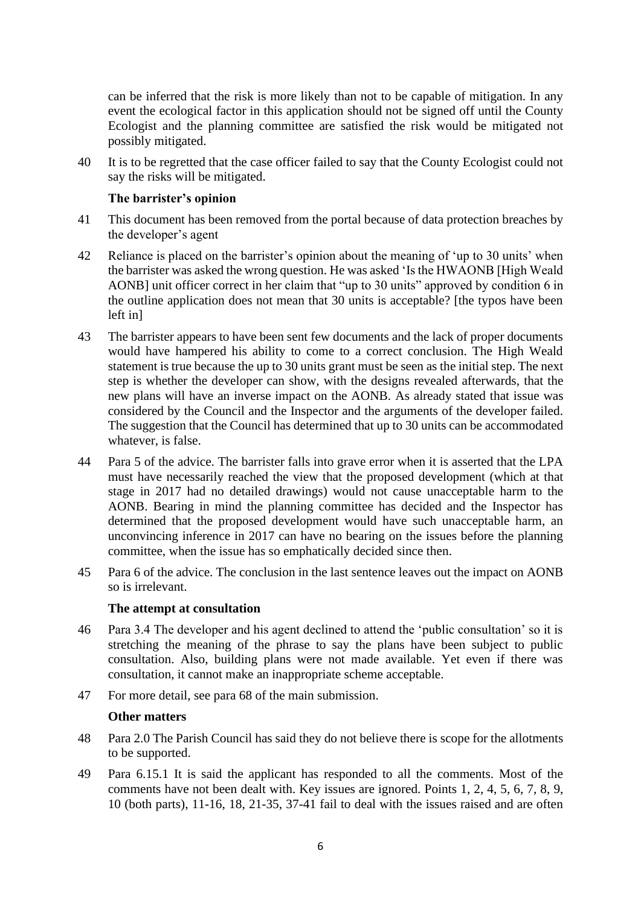can be inferred that the risk is more likely than not to be capable of mitigation. In any event the ecological factor in this application should not be signed off until the County Ecologist and the planning committee are satisfied the risk would be mitigated not possibly mitigated.

40 It is to be regretted that the case officer failed to say that the County Ecologist could not say the risks will be mitigated.

# **The barrister's opinion**

- 41 This document has been removed from the portal because of data protection breaches by the developer's agent
- 42 Reliance is placed on the barrister's opinion about the meaning of 'up to 30 units' when the barrister was asked the wrong question. He was asked 'Is the HWAONB [High Weald AONB] unit officer correct in her claim that "up to 30 units" approved by condition 6 in the outline application does not mean that 30 units is acceptable? [the typos have been left in]
- 43 The barrister appears to have been sent few documents and the lack of proper documents would have hampered his ability to come to a correct conclusion. The High Weald statement is true because the up to 30 units grant must be seen as the initial step. The next step is whether the developer can show, with the designs revealed afterwards, that the new plans will have an inverse impact on the AONB. As already stated that issue was considered by the Council and the Inspector and the arguments of the developer failed. The suggestion that the Council has determined that up to 30 units can be accommodated whatever, is false.
- 44 Para 5 of the advice. The barrister falls into grave error when it is asserted that the LPA must have necessarily reached the view that the proposed development (which at that stage in 2017 had no detailed drawings) would not cause unacceptable harm to the AONB. Bearing in mind the planning committee has decided and the Inspector has determined that the proposed development would have such unacceptable harm, an unconvincing inference in 2017 can have no bearing on the issues before the planning committee, when the issue has so emphatically decided since then.
- 45 Para 6 of the advice. The conclusion in the last sentence leaves out the impact on AONB so is irrelevant.

## **The attempt at consultation**

- 46 Para 3.4 The developer and his agent declined to attend the 'public consultation' so it is stretching the meaning of the phrase to say the plans have been subject to public consultation. Also, building plans were not made available. Yet even if there was consultation, it cannot make an inappropriate scheme acceptable.
- 47 For more detail, see para 68 of the main submission.

## **Other matters**

- 48 Para 2.0 The Parish Council has said they do not believe there is scope for the allotments to be supported.
- 49 Para 6.15.1 It is said the applicant has responded to all the comments. Most of the comments have not been dealt with. Key issues are ignored. Points 1, 2, 4, 5, 6, 7, 8, 9, 10 (both parts), 11-16, 18, 21-35, 37-41 fail to deal with the issues raised and are often